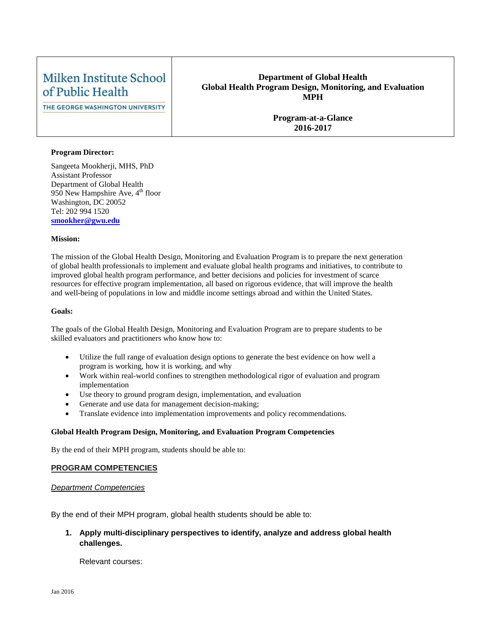# Milken Institute School of Public Health

THE GEORGE WASHINGTON UNIVERSITY

#### **Department of Global Health Global Health Program Design, Monitoring, and Evaluation MPH**

**Program-at-a-Glance 2016-2017**

#### **Program Director:**

Sangeeta Mookherji, MHS, PhD Assistant Professor Department of Global Health 950 New Hampshire Ave,  $4<sup>th</sup>$  floor Washington, DC 20052 Tel: 202 994 1520 **[smookher@gwu.edu](mailto:smookher@gwu.edu)**

#### **Mission:**

The mission of the Global Health Design, Monitoring and Evaluation Program is to prepare the next generation of global health professionals to implement and evaluate global health programs and initiatives, to contribute to improved global health program performance, and better decisions and policies for investment of scarce resources for effective program implementation, all based on rigorous evidence, that will improve the health and well-being of populations in low and middle income settings abroad and within the United States.

#### **Goals:**

The goals of the Global Health Design, Monitoring and Evaluation Program are to prepare students to be skilled evaluators and practitioners who know how to:

- Utilize the full range of evaluation design options to generate the best evidence on how well a program is working, how it is working, and why
- Work within real-world confines to strengthen methodological rigor of evaluation and program implementation
- Use theory to ground program design, implementation, and evaluation
- Generate and use data for management decision-making;
- Translate evidence into implementation improvements and policy recommendations.

#### **Global Health Program Design, Monitoring, and Evaluation Program Competencies**

By the end of their MPH program, students should be able to:

#### **PROGRAM COMPETENCIES**

#### *Department Competencies*

By the end of their MPH program, global health students should be able to:

## **1. Apply multi-disciplinary perspectives to identify, analyze and address global health challenges.**

Relevant courses: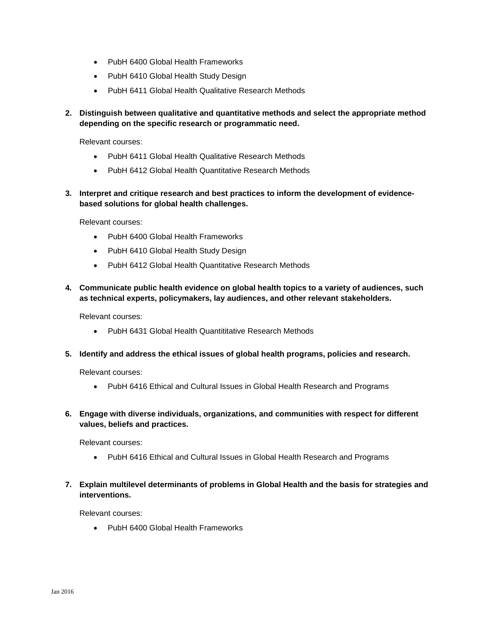- PubH 6400 Global Health Frameworks
- PubH 6410 Global Health Study Design
- PubH 6411 Global Health Qualitative Research Methods
- **2. Distinguish between qualitative and quantitative methods and select the appropriate method depending on the specific research or programmatic need.**

Relevant courses:

- PubH 6411 Global Health Qualitative Research Methods
- PubH 6412 Global Health Quantitative Research Methods
- **3. Interpret and critique research and best practices to inform the development of evidencebased solutions for global health challenges.**

Relevant courses:

- PubH 6400 Global Health Frameworks
- PubH 6410 Global Health Study Design
- PubH 6412 Global Health Quantitative Research Methods
- **4. Communicate public health evidence on global health topics to a variety of audiences, such as technical experts, policymakers, lay audiences, and other relevant stakeholders.**

Relevant courses:

- PubH 6431 Global Health Quantititative Research Methods
- **5. Identify and address the ethical issues of global health programs, policies and research.**

Relevant courses:

- PubH 6416 Ethical and Cultural Issues in Global Health Research and Programs
- **6. Engage with diverse individuals, organizations, and communities with respect for different values, beliefs and practices.**

Relevant courses:

- PubH 6416 Ethical and Cultural Issues in Global Health Research and Programs
- **7. Explain multilevel determinants of problems in Global Health and the basis for strategies and interventions.**

Relevant courses:

• PubH 6400 Global Health Frameworks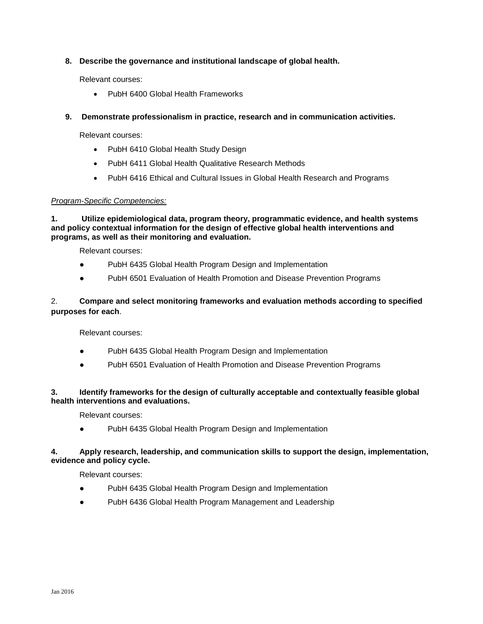## **8. Describe the governance and institutional landscape of global health.**

Relevant courses:

- PubH 6400 Global Health Frameworks
- **9. Demonstrate professionalism in practice, research and in communication activities.**

Relevant courses:

- PubH 6410 Global Health Study Design
- PubH 6411 Global Health Qualitative Research Methods
- PubH 6416 Ethical and Cultural Issues in Global Health Research and Programs

## *Program-Specific Competencies:*

**1. Utilize epidemiological data, program theory, programmatic evidence, and health systems and policy contextual information for the design of effective global health interventions and programs, as well as their monitoring and evaluation.**

Relevant courses:

- PubH 6435 Global Health Program Design and Implementation
- PubH 6501 Evaluation of Health Promotion and Disease Prevention Programs

## 2. **Compare and select monitoring frameworks and evaluation methods according to specified purposes for each**.

Relevant courses:

- PubH 6435 Global Health Program Design and Implementation
- PubH 6501 Evaluation of Health Promotion and Disease Prevention Programs

## **3. Identify frameworks for the design of culturally acceptable and contextually feasible global health interventions and evaluations.**

Relevant courses:

PubH 6435 Global Health Program Design and Implementation

## **4. Apply research, leadership, and communication skills to support the design, implementation, evidence and policy cycle.**

Relevant courses:

- PubH 6435 Global Health Program Design and Implementation
- PubH 6436 Global Health Program Management and Leadership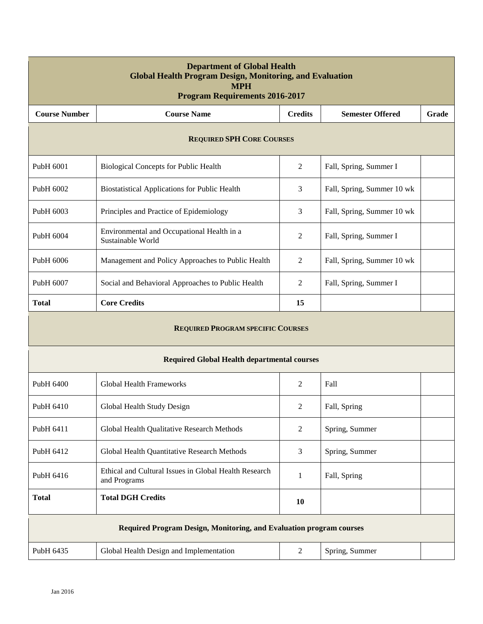| <b>Department of Global Health</b><br><b>Global Health Program Design, Monitoring, and Evaluation</b><br><b>MPH</b><br><b>Program Requirements 2016-2017</b> |                                                                                         |                |                        |  |  |  |  |
|--------------------------------------------------------------------------------------------------------------------------------------------------------------|-----------------------------------------------------------------------------------------|----------------|------------------------|--|--|--|--|
| <b>Course Number</b>                                                                                                                                         | <b>Course Name</b><br><b>Credits</b><br><b>Semester Offered</b>                         |                | Grade                  |  |  |  |  |
| <b>REQUIRED SPH CORE COURSES</b>                                                                                                                             |                                                                                         |                |                        |  |  |  |  |
| PubH 6001                                                                                                                                                    | <b>Biological Concepts for Public Health</b>                                            | 2              | Fall, Spring, Summer I |  |  |  |  |
| PubH 6002                                                                                                                                                    | 3<br>Fall, Spring, Summer 10 wk<br><b>Biostatistical Applications for Public Health</b> |                |                        |  |  |  |  |
| PubH 6003                                                                                                                                                    | Principles and Practice of Epidemiology<br>3<br>Fall, Spring, Summer 10 wk              |                |                        |  |  |  |  |
| PubH 6004                                                                                                                                                    | Environmental and Occupational Health in a<br>Sustainable World                         | 2              | Fall, Spring, Summer I |  |  |  |  |
| PubH 6006                                                                                                                                                    | Management and Policy Approaches to Public Health<br>Fall, Spring, Summer 10 wk<br>2    |                |                        |  |  |  |  |
| PubH 6007                                                                                                                                                    | Social and Behavioral Approaches to Public Health                                       | 2              |                        |  |  |  |  |
| <b>Total</b>                                                                                                                                                 | <b>Core Credits</b>                                                                     | 15             |                        |  |  |  |  |
|                                                                                                                                                              | <b>REQUIRED PROGRAM SPECIFIC COURSES</b>                                                |                |                        |  |  |  |  |
|                                                                                                                                                              | <b>Required Global Health departmental courses</b>                                      |                |                        |  |  |  |  |
| PubH 6400                                                                                                                                                    | <b>Global Health Frameworks</b>                                                         | 2              | Fall                   |  |  |  |  |
| Pub <sub>H</sub> 6410                                                                                                                                        | Global Health Study Design                                                              | 2              | Fall, Spring           |  |  |  |  |
| PubH 6411                                                                                                                                                    | Global Health Qualitative Research Methods                                              | 2              | Spring, Summer         |  |  |  |  |
| PubH 6412                                                                                                                                                    | Global Health Quantitative Research Methods                                             | 3              | Spring, Summer         |  |  |  |  |
| PubH 6416                                                                                                                                                    | Ethical and Cultural Issues in Global Health Research<br>and Programs                   | $\mathbf{1}$   | Fall, Spring           |  |  |  |  |
| <b>Total</b>                                                                                                                                                 | <b>Total DGH Credits</b><br>10                                                          |                |                        |  |  |  |  |
| Required Program Design, Monitoring, and Evaluation program courses                                                                                          |                                                                                         |                |                        |  |  |  |  |
| PubH 6435                                                                                                                                                    | Global Health Design and Implementation                                                 | $\overline{c}$ | Spring, Summer         |  |  |  |  |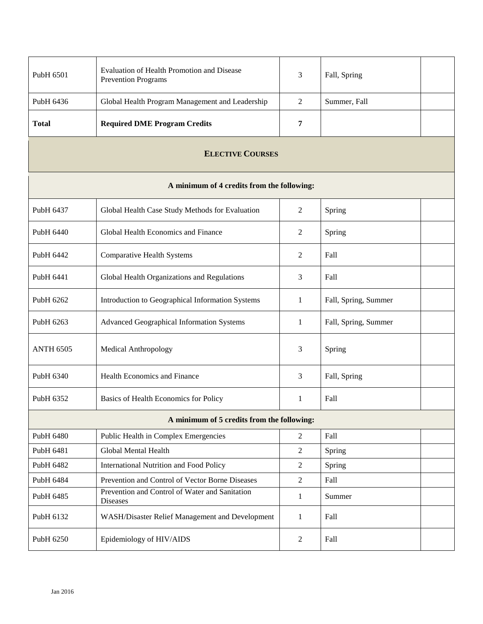| PubH 6501                                  | Evaluation of Health Promotion and Disease<br><b>Prevention Programs</b> | 3              | Fall, Spring         |  |  |  |  |
|--------------------------------------------|--------------------------------------------------------------------------|----------------|----------------------|--|--|--|--|
| PubH 6436                                  | Global Health Program Management and Leadership<br>2<br>Summer, Fall     |                |                      |  |  |  |  |
| <b>Total</b>                               | <b>Required DME Program Credits</b>                                      | 7              |                      |  |  |  |  |
| <b>ELECTIVE COURSES</b>                    |                                                                          |                |                      |  |  |  |  |
| A minimum of 4 credits from the following: |                                                                          |                |                      |  |  |  |  |
| PubH 6437                                  | Global Health Case Study Methods for Evaluation                          | 2              | Spring               |  |  |  |  |
| PubH 6440                                  | Global Health Economics and Finance                                      | 2              | Spring               |  |  |  |  |
| PubH 6442                                  | <b>Comparative Health Systems</b>                                        | 2              | Fall                 |  |  |  |  |
| PubH 6441                                  | Global Health Organizations and Regulations                              | 3              | Fall                 |  |  |  |  |
| PubH 6262                                  | Introduction to Geographical Information Systems                         | 1              | Fall, Spring, Summer |  |  |  |  |
| PubH 6263                                  | Advanced Geographical Information Systems                                | 1              | Fall, Spring, Summer |  |  |  |  |
| <b>ANTH 6505</b><br>Medical Anthropology   |                                                                          | 3              | Spring               |  |  |  |  |
| PubH 6340                                  | Health Economics and Finance                                             |                | Fall, Spring         |  |  |  |  |
| PubH 6352                                  | Basics of Health Economics for Policy                                    | 1              | Fall                 |  |  |  |  |
| A minimum of 5 credits from the following: |                                                                          |                |                      |  |  |  |  |
| PubH 6480                                  | Public Health in Complex Emergencies                                     | $\overline{2}$ | Fall                 |  |  |  |  |
| PubH 6481                                  | Global Mental Health                                                     | $\overline{2}$ | Spring               |  |  |  |  |
| PubH 6482                                  | <b>International Nutrition and Food Policy</b>                           | $\overline{2}$ | Spring               |  |  |  |  |
| PubH 6484                                  | Prevention and Control of Vector Borne Diseases                          |                | Fall                 |  |  |  |  |
| PubH 6485                                  | Prevention and Control of Water and Sanitation<br>Diseases               | 1              | Summer               |  |  |  |  |
| PubH 6132                                  | WASH/Disaster Relief Management and Development                          | 1              | Fall                 |  |  |  |  |
| PubH 6250<br>Epidemiology of HIV/AIDS      |                                                                          | $\overline{2}$ | Fall                 |  |  |  |  |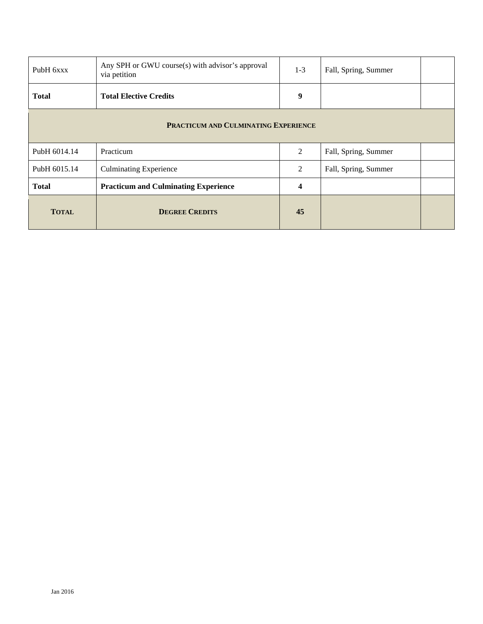| PubH 6xxx                                   | Any SPH or GWU course(s) with advisor's approval<br>$1 - 3$<br>Fall, Spring, Summer<br>via petition |                         |                      |  |  |  |
|---------------------------------------------|-----------------------------------------------------------------------------------------------------|-------------------------|----------------------|--|--|--|
| <b>Total</b>                                | <b>Total Elective Credits</b>                                                                       | 9                       |                      |  |  |  |
| <b>PRACTICUM AND CULMINATING EXPERIENCE</b> |                                                                                                     |                         |                      |  |  |  |
| PubH 6014.14                                | Practicum                                                                                           | 2                       | Fall, Spring, Summer |  |  |  |
| PubH 6015.14                                | <b>Culminating Experience</b>                                                                       | 2                       | Fall, Spring, Summer |  |  |  |
| <b>Total</b>                                | <b>Practicum and Culminating Experience</b>                                                         | $\overline{\mathbf{4}}$ |                      |  |  |  |
| <b>TOTAL</b>                                | <b>DEGREE CREDITS</b>                                                                               | 45                      |                      |  |  |  |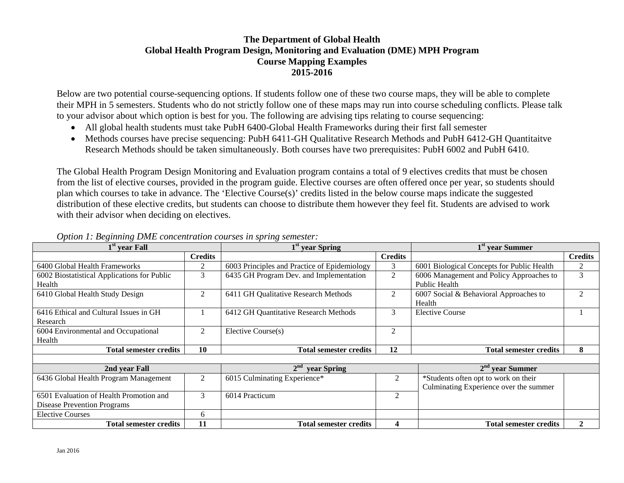## **The Department of Global Health Global Health Program Design, Monitoring and Evaluation (DME) MPH Program Course Mapping Examples 2015-2016**

Below are two potential course-sequencing options. If students follow one of these two course maps, they will be able to complete their MPH in 5 semesters. Students who do not strictly follow one of these maps may run into course scheduling conflicts. Please talk to your advisor about which option is best for you. The following are advising tips relating to course sequencing:

- All global health students must take PubH 6400-Global Health Frameworks during their first fall semester
- Methods courses have precise sequencing: PubH 6411-GH Qualitative Research Methods and PubH 6412-GH Quantitaitve Research Methods should be taken simultaneously. Both courses have two prerequisites: PubH 6002 and PubH 6410.

The Global Health Program Design Monitoring and Evaluation program contains a total of 9 electives credits that must be chosen from the list of elective courses, provided in the program guide. Elective courses are often offered once per year, so students should plan which courses to take in advance. The 'Elective Course(s)' credits listed in the below course maps indicate the suggested distribution of these elective credits, but students can choose to distribute them however they feel fit. Students are advised to work with their advisor when deciding on electives.

| $1st$ year Fall                             |                | 1 <sup>st</sup> year Spring                  |                | $1st$ year Summer                          |                |  |
|---------------------------------------------|----------------|----------------------------------------------|----------------|--------------------------------------------|----------------|--|
|                                             | <b>Credits</b> | <b>Credits</b>                               |                |                                            | <b>Credits</b> |  |
| 6400 Global Health Frameworks               | 2              | 6003 Principles and Practice of Epidemiology | 3              | 6001 Biological Concepts for Public Health | 2              |  |
| 6002 Biostatistical Applications for Public | 3              | 6435 GH Program Dev. and Implementation      | 2              | 6006 Management and Policy Approaches to   | 3              |  |
| Health                                      |                |                                              |                | Public Health                              |                |  |
| 6410 Global Health Study Design             | 2              | 6411 GH Qualitative Research Methods<br>2    |                | 6007 Social & Behavioral Approaches to     | $\mathfrak{D}$ |  |
|                                             |                |                                              |                | Health                                     |                |  |
| 6416 Ethical and Cultural Issues in GH      |                | 6412 GH Quantitative Research Methods        | 3              | <b>Elective Course</b>                     |                |  |
| Research                                    |                |                                              |                |                                            |                |  |
| 6004 Environmental and Occupational         | 2              | Elective Course(s)                           | 2              |                                            |                |  |
| Health                                      |                |                                              |                |                                            |                |  |
| <b>Total semester credits</b>               | <b>10</b>      | <b>Total semester credits</b>                | 12             | <b>Total semester credits</b>              | 8              |  |
|                                             |                |                                              |                |                                            |                |  |
| 2nd year Fall                               |                | 2 <sup>nd</sup><br>year Spring               |                | $2nd$ vear Summer                          |                |  |
| 6436 Global Health Program Management       | 2              | 6015 Culminating Experience*                 | 2              | *Students often opt to work on their       |                |  |
|                                             |                |                                              |                | Culminating Experience over the summer     |                |  |
| 6501 Evaluation of Health Promotion and     | 3              | 6014 Practicum                               | 2              |                                            |                |  |
| <b>Disease Prevention Programs</b>          |                |                                              |                |                                            |                |  |
| <b>Elective Courses</b>                     | 6              |                                              |                |                                            |                |  |
| 11<br><b>Total semester credits</b>         |                | <b>Total semester credits</b>                | $\overline{4}$ | <b>Total semester credits</b>              | $\mathbf{2}$   |  |

## *Option 1: Beginning DME concentration courses in spring semester:*